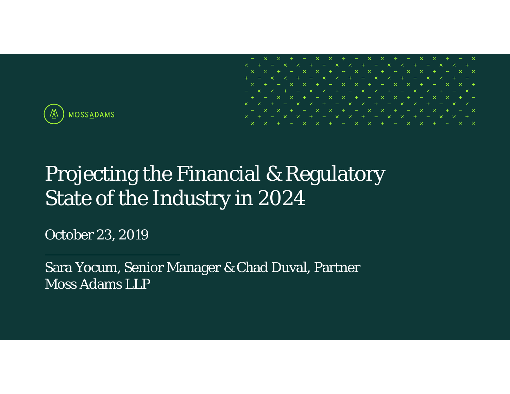

# Projecting the Financial & Regulatory State of the Industry in 2024

October 23, 2019

Sara Yocum, Senior Manager & Chad Duval, Partner Moss Adams LLP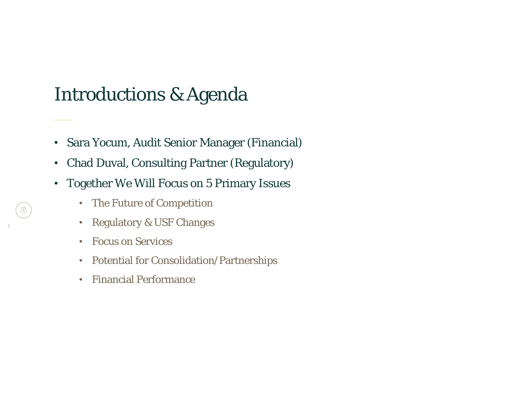### Introductions & Agenda

- •Sara Yocum, Audit Senior Manager (Financial)
- •Chad Duval, Consulting Partner (Regulatory)
- • Together We Will Focus on 5 Primary Issues
	- •The Future of Competition
	- $\bullet$ Regulatory & USF Changes
	- •Focus on Services
	- Potential for Consolidation/Partnerships
	- •Financial Performance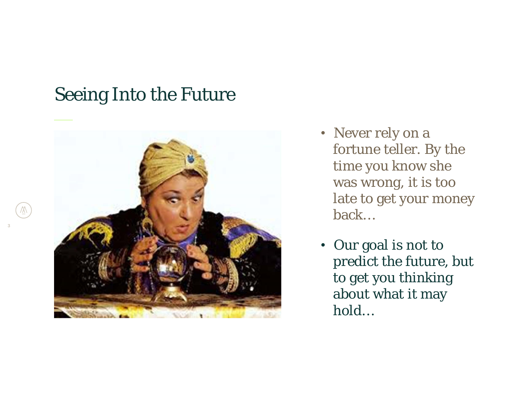### Seeing Into the Future



- Never rely on a fortune teller. By the time you know she was wrong, it is too late to get your money back…
- Our goal is not to predict the future, but to get you thinking about what it may hold…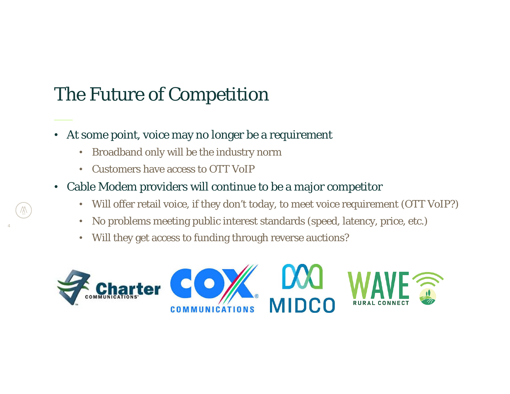- • At some point, voice may no longer be a requirement
	- Broadband only will be the industry norm
	- Customers have access to OTT VoIP
- Cable Modem providers will continue to be a major competitor
	- Will offer retail voice, if they don't today, to meet voice requirement (OTT VoIP?)
	- •No problems meeting public interest standards (speed, latency, price, etc.)
	- Will they get access to funding through reverse auctions?

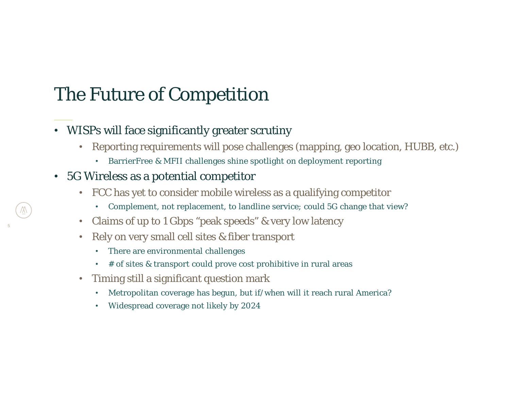### • WISPs will face significantly greater scrutiny

- Reporting requirements will pose challenges (mapping, geo location, HUBB, etc.)
	- •BarrierFree & MFII challenges shine spotlight on deployment reporting

### • 5G Wireless as a potential competitor

- FCC has yet to consider mobile wireless as a qualifying competitor
	- •Complement, not replacement, to landline service; could 5G change that view?
- •Claims of up to 1 Gbps "peak speeds" & very low latency
- Rely on very small cell sites & fiber transport
	- •There are environmental challenges
	- # of sites & transport could prove cost prohibitive in rural areas
- • Timing still a significant question mark
	- •Metropolitan coverage has begun, but if/when will it reach rural America?
	- •Widespread coverage not likely by 2024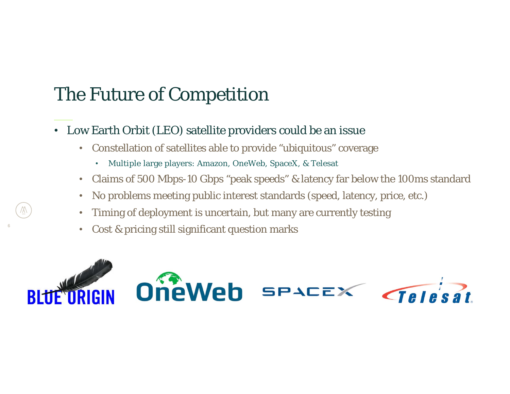- Low Earth Orbit (LEO) satellite providers could be an issue
	- Constellation of satellites able to provide "ubiquitous" coverage
		- •Multiple large players: Amazon, OneWeb, SpaceX, & Telesat
	- Claims of 500 Mbps-10 Gbps "peak speeds" & latency far below the 100ms standard
	- •No problems meeting public interest standards (speed, latency, price, etc.)
	- •Timing of deployment is uncertain, but many are currently testing
	- •Cost & pricing still significant question marks

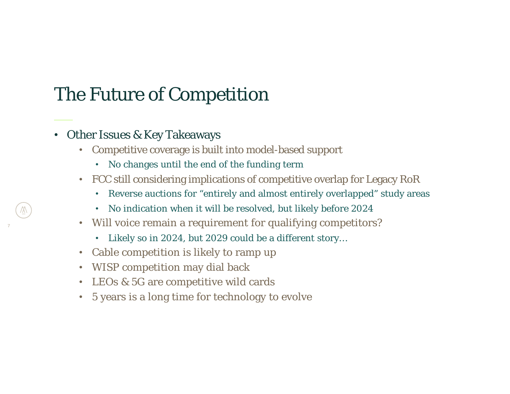### • Other Issues & Key Takeaways

- Competitive coverage is built into model-based support
	- No changes until the end of the funding term
- FCC still considering implications of competitive overlap for Legacy RoR
	- Reverse auctions for "entirely and almost entirely overlapped" study areas
	- •No indication when it will be resolved, but likely before 2024
- Will voice remain a requirement for qualifying competitors?
	- Likely so in 2024, but 2029 could be a different story…
- •Cable competition is likely to ramp up
- WISP competition may dial back
- LEOs & 5G are competitive wild cards
- 5 years is a long time for technology to evolve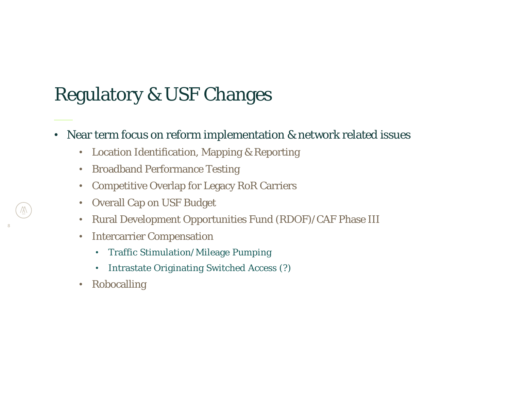## Regulatory & USF Changes

### • Near term focus on reform implementation & network related issues

- Location Identification, Mapping & Reporting
- Broadband Performance Testing
- •Competitive Overlap for Legacy RoR Carriers
- •Overall Cap on USF Budget
- •Rural Development Opportunities Fund (RDOF)/CAF Phase III
- • Intercarrier Compensation
	- Traffic Stimulation/Mileage Pumping
	- Intrastate Originating Switched Access (?)
- Robocalling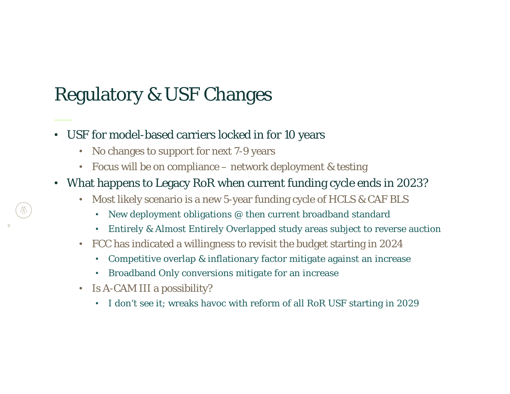## Regulatory & USF Changes

- USF for model-based carriers locked in for 10 years
	- No changes to support for next 7-9 years
	- Focus will be on compliance network deployment & testing
- What happens to Legacy RoR when current funding cycle ends in 2023?
	- Most likely scenario is a new 5-year funding cycle of HCLS & CAF BLS
		- •New deployment obligations @ then current broadband standard
		- •Entirely & Almost Entirely Overlapped study areas subject to reverse auction
	- FCC has indicated a willingness to revisit the budget starting in 2024
		- •Competitive overlap & inflationary factor mitigate against an increase
		- •Broadband Only conversions mitigate for an increase
	- Is A-CAM III a possibility?
		- •I don't see it; wreaks havoc with reform of all RoR USF starting in 2029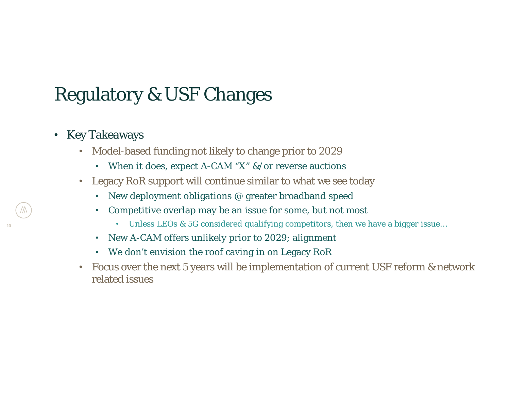# Regulatory & USF Changes

- Key Takeaways
	- • Model-based funding not likely to change prior to 2029
		- When it does, expect A-CAM "X" &/or reverse auctions
	- Legacy RoR support will continue similar to what we see today
		- •New deployment obligations @ greater broadband speed
		- • Competitive overlap may be an issue for some, but not most
			- Unless LEOs & 5G considered qualifying competitors, then we have a bigger issue…
		- •New A-CAM offers unlikely prior to 2029; alignment
		- We don't envision the roof caving in on Legacy RoR
	- • Focus over the next 5 years will be implementation of current USF reform & network related issues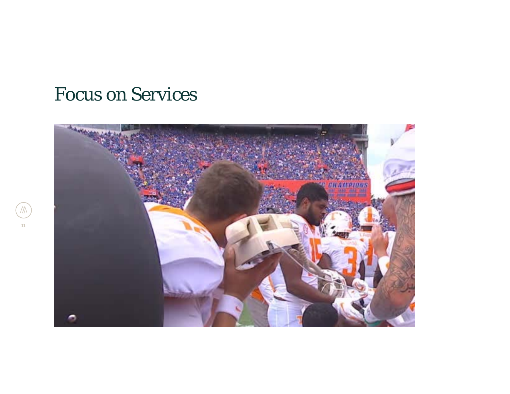

 $\overline{\mathbb{X}}$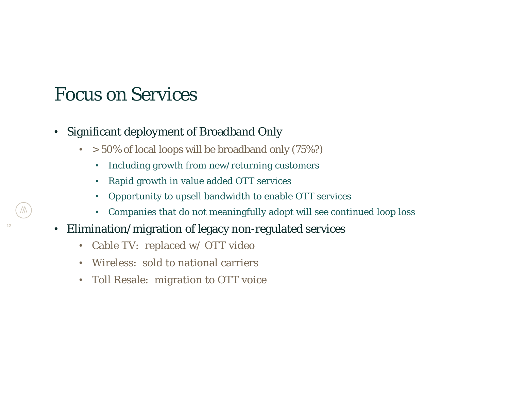- Significant deployment of Broadband Only
	- $\bullet \hskip 3mm > 50\%$  of local loops will be broadband only (75%?)
		- •Including growth from new/returning customers
		- •Rapid growth in value added OTT services
		- •Opportunity to upsell bandwidth to enable OTT services
		- Companies that do not meaningfully adopt will see continued loop loss
- • Elimination/migration of legacy non-regulated services
	- Cable TV: replaced w/ OTT video
	- Wireless: sold to national carriers
	- Toll Resale: migration to OTT voice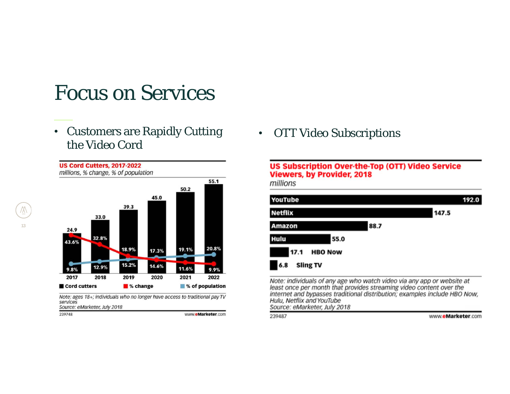• Customers are Rapidly Cutting the Video Cord



Note: ages 18+; individuals who no longer have access to traditional pay TV services Source: eMarketer, July 2018

239748

www.eMarketer.com

• OTT Video Subscriptions

#### **US Subscription Over-the-Top (OTT) Video Service Viewers, by Provider, 2018**

millions



Note: individuals of any age who watch video via any app or website at least once per month that provides streaming video content over the internet and bypasses traditional distribution; examples include HBO Now, Hulu, Netflix and YouTube Source: eMarketer, July 2018

239487

www.eMarketer.com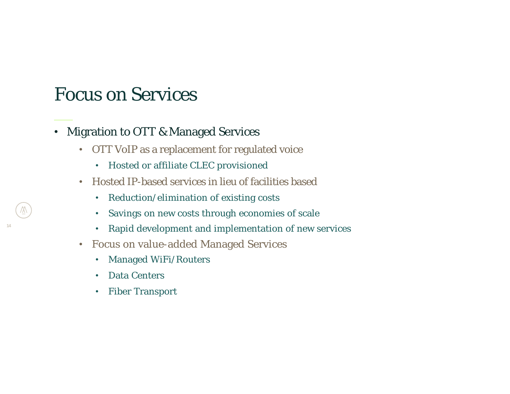- Migration to OTT & Managed Services
	- OTT VoIP as a replacement for regulated voice
		- Hosted or affiliate CLEC provisioned
	- Hosted IP-based services in lieu of facilities based
		- •Reduction/elimination of existing costs
		- •Savings on new costs through economies of scale
		- •Rapid development and implementation of new services
	- • Focus on value-added Managed Services
		- •Managed WiFi/Routers
		- $\bullet$ Data Centers

**14**

•Fiber Transport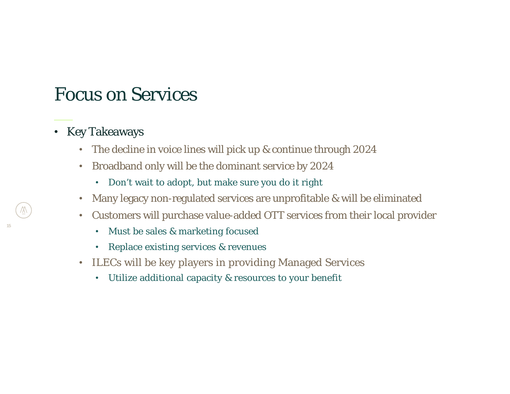- Key Takeaways
	- The decline in voice lines will pick up & continue through 2024
	- Broadband only will be the dominant service by 2024
		- •Don't wait to adopt, but make sure you do it right
	- •Many legacy non-regulated services are unprofitable & will be eliminated
	- • Customers will purchase value-added OTT services from their local provider
		- •Must be sales & marketing focused
		- •Replace existing services & revenues
	- ILECs will be key players in providing Managed Services
		- Utilize additional capacity & resources to your benefit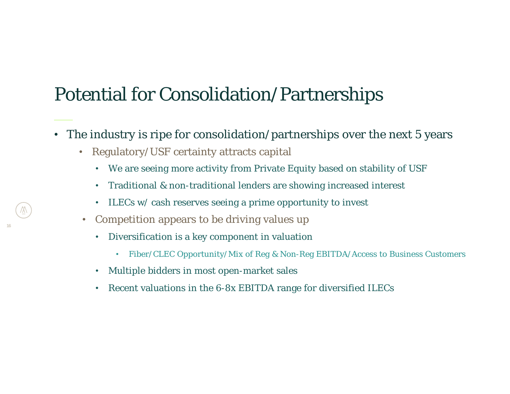### Potential for Consolidation/Partnerships

- The industry is ripe for consolidation/partnerships over the next 5 years
	- Regulatory/USF certainty attracts capital
		- We are seeing more activity from Private Equity based on stability of USF
		- Traditional & non-traditional lenders are showing increased interest
		- ILECs w/ cash reserves seeing a prime opportunity to invest
	- •Competition appears to be driving values up

- Diversification is a key component in valuation
	- Fiber/CLEC Opportunity/Mix of Reg & Non-Reg EBITDA/Access to Business Customers
- •Multiple bidders in most open-market sales
- •Recent valuations in the 6-8x EBITDA range for diversified ILECs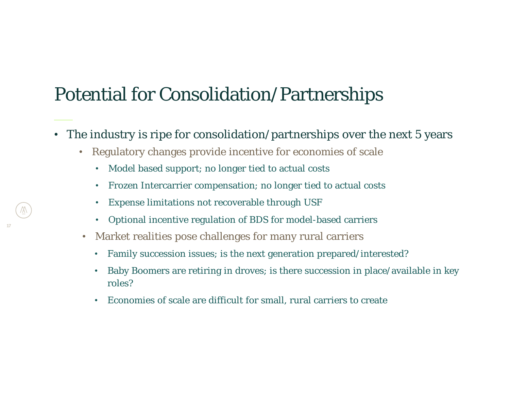### Potential for Consolidation/Partnerships

- The industry is ripe for consolidation/partnerships over the next 5 years
	- Regulatory changes provide incentive for economies of scale
		- Model based support; no longer tied to actual costs
		- •Frozen Intercarrier compensation; no longer tied to actual costs
		- •Expense limitations not recoverable through USF
		- •Optional incentive regulation of BDS for model-based carriers
	- • Market realities pose challenges for many rural carriers
		- •Family succession issues; is the next generation prepared/interested?
		- • Baby Boomers are retiring in droves; is there succession in place/available in key roles?
		- Economies of scale are difficult for small, rural carriers to create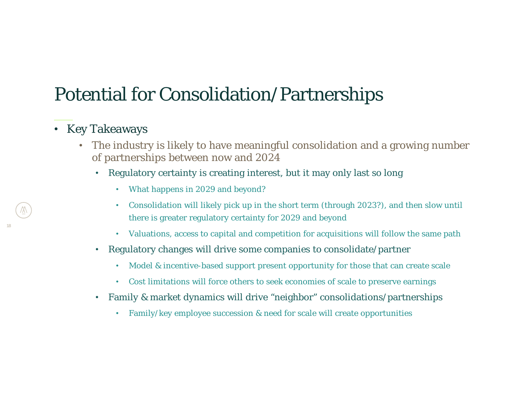### Potential for Consolidation/Partnerships

### • Key Takeaways

- The industry is likely to have meaningful consolidation and a growing number of partnerships between now and 2024
	- • Regulatory certainty is creating interest, but it may only last so long
		- What happens in 2029 and beyond?
		- • Consolidation will likely pick up in the short term (through 2023?), and then slow until there is greater regulatory certainty for 2029 and beyond
		- Valuations, access to capital and competition for acquisitions will follow the same path
	- $\bullet$  Regulatory changes will drive some companies to consolidate/partner
		- •Model & incentive-based support present opportunity for those that can create scale
		- Cost limitations will force others to seek economies of scale to preserve earnings
	- Family & market dynamics will drive "neighbor" consolidations/partnerships
		- •Family/key employee succession & need for scale will create opportunities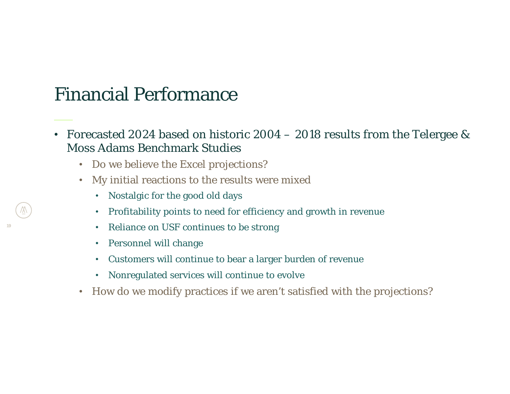### Financial Performance

- Forecasted 2024 based on historic 2004 2018 results from the Telergee & Moss Adams Benchmark Studies
	- Do we believe the Excel projections?
	- My initial reactions to the results were mixed
		- Nostalgic for the good old days
		- •Profitability points to need for efficiency and growth in revenue
		- •Reliance on USF continues to be strong
		- •Personnel will change

- Customers will continue to bear a larger burden of revenue
- Nonregulated services will continue to evolve
- How do we modify practices if we aren't satisfied with the projections?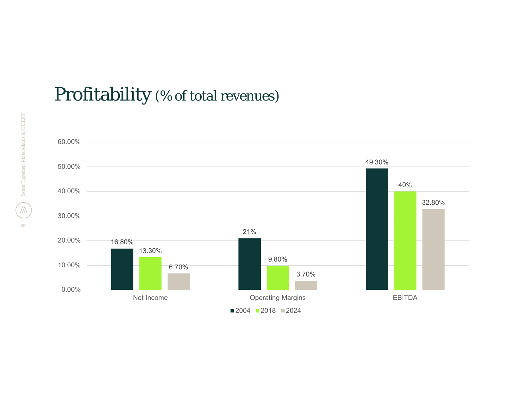

### Profitability (% of total revenues)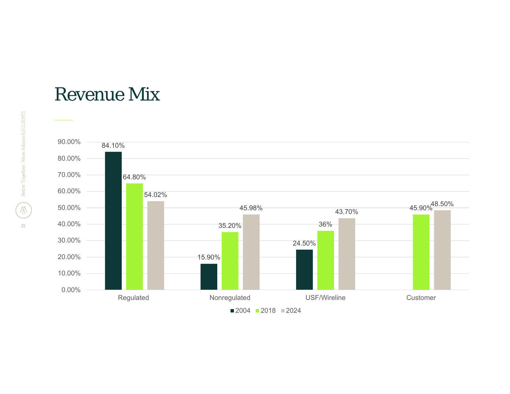### Revenue Mix

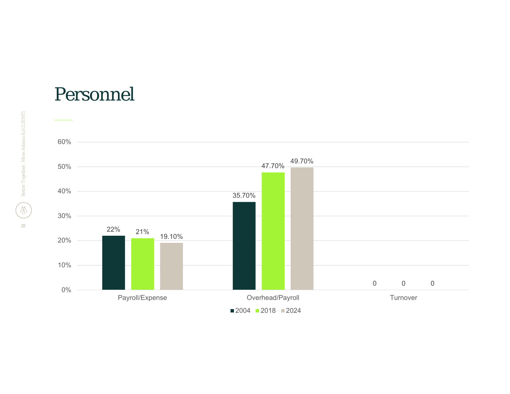

### Personnel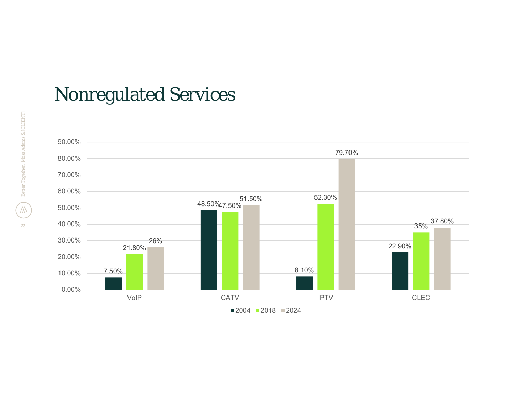

## Nonregulated Services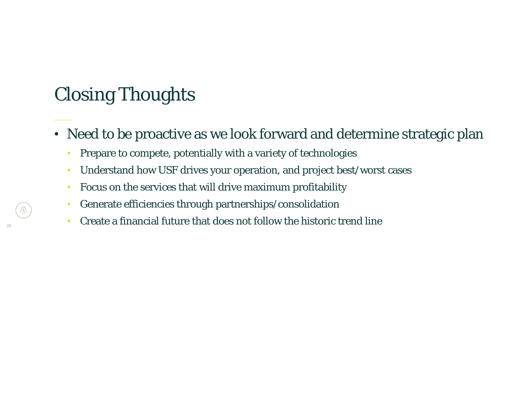### Closing Thoughts

- Need to be proactive as we look forward and determine strategic plan
	- •Prepare to compete, potentially with a variety of technologies
	- Understand how USF drives your operation, and project best/worst cases
	- Focus on the services that will drive maximum profitability
	- $\bullet$ Generate efficiencies through partnerships/consolidation
	- $\bullet$ Create a financial future that does not follow the historic trend line